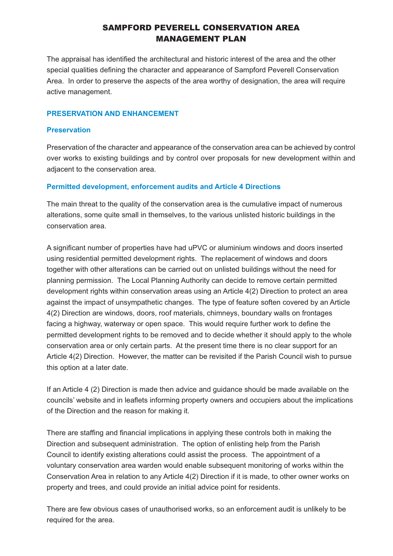# SAMPFORD PEVERELL CONSERVATION AREA MANAGEMENT PLAN

The appraisal has identified the architectural and historic interest of the area and the other special qualities defining the character and appearance of Sampford Peverell Conservation Area. In order to preserve the aspects of the area worthy of designation, the area will require active management.

#### **PRESERVATION AND ENHANCEMENT**

#### **Preservation**

Preservation of the character and appearance of the conservation area can be achieved by control over works to existing buildings and by control over proposals for new development within and adjacent to the conservation area.

#### **Permitted development, enforcement audits and Article 4 Directions**

The main threat to the quality of the conservation area is the cumulative impact of numerous alterations, some quite small in themselves, to the various unlisted historic buildings in the conservation area.

A significant number of properties have had uPVC or aluminium windows and doors inserted using residential permitted development rights. The replacement of windows and doors together with other alterations can be carried out on unlisted buildings without the need for planning permission. The Local Planning Authority can decide to remove certain permitted development rights within conservation areas using an Article 4(2) Direction to protect an area against the impact of unsympathetic changes. The type of feature soften covered by an Article 4(2) Direction are windows, doors, roof materials, chimneys, boundary walls on frontages facing a highway, waterway or open space. This would require further work to define the permitted development rights to be removed and to decide whether it should apply to the whole conservation area or only certain parts. At the present time there is no clear support for an Article 4(2) Direction. However, the matter can be revisited if the Parish Council wish to pursue this option at a later date.

If an Article 4 (2) Direction is made then advice and guidance should be made available on the councils' website and in leaflets informing property owners and occupiers about the implications of the Direction and the reason for making it.

There are staffing and financial implications in applying these controls both in making the Direction and subsequent administration. The option of enlisting help from the Parish Council to identify existing alterations could assist the process. The appointment of a voluntary conservation area warden would enable subsequent monitoring of works within the Conservation Area in relation to any Article 4(2) Direction if it is made, to other owner works on property and trees, and could provide an initial advice point for residents.

There are few obvious cases of unauthorised works, so an enforcement audit is unlikely to be required for the area.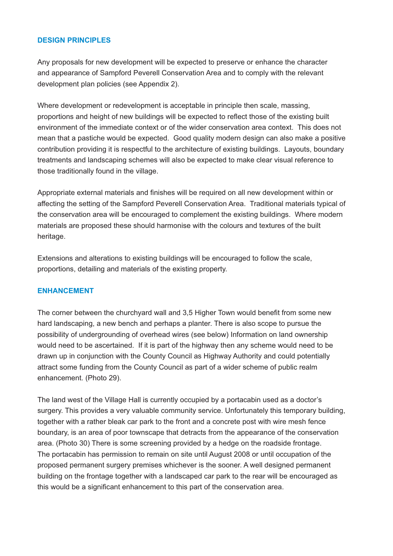#### **DESIGN PRINCIPLES**

Any proposals for new development will be expected to preserve or enhance the character and appearance of Sampford Peverell Conservation Area and to comply with the relevant development plan policies (see Appendix 2).

Where development or redevelopment is acceptable in principle then scale, massing, proportions and height of new buildings will be expected to reflect those of the existing built environment of the immediate context or of the wider conservation area context. This does not mean that a pastiche would be expected. Good quality modern design can also make a positive contribution providing it is respectful to the architecture of existing buildings. Layouts, boundary treatments and landscaping schemes will also be expected to make clear visual reference to those traditionally found in the village.

Appropriate external materials and finishes will be required on all new development within or affecting the setting of the Sampford Peverell Conservation Area. Traditional materials typical of the conservation area will be encouraged to complement the existing buildings. Where modern materials are proposed these should harmonise with the colours and textures of the built heritage.

Extensions and alterations to existing buildings will be encouraged to follow the scale, proportions, detailing and materials of the existing property.

#### **ENHANCEMENT**

The corner between the churchyard wall and 3,5 Higher Town would benefit from some new hard landscaping, a new bench and perhaps a planter. There is also scope to pursue the possibility of undergrounding of overhead wires (see below) Information on land ownership would need to be ascertained. If it is part of the highway then any scheme would need to be drawn up in conjunction with the County Council as Highway Authority and could potentially attract some funding from the County Council as part of a wider scheme of public realm enhancement. (Photo 29).

The land west of the Village Hall is currently occupied by a portacabin used as a doctor's surgery. This provides a very valuable community service. Unfortunately this temporary building, together with a rather bleak car park to the front and a concrete post with wire mesh fence boundary, is an area of poor townscape that detracts from the appearance of the conservation area. (Photo 30) There is some screening provided by a hedge on the roadside frontage. The portacabin has permission to remain on site until August 2008 or until occupation of the proposed permanent surgery premises whichever is the sooner. A well designed permanent building on the frontage together with a landscaped car park to the rear will be encouraged as this would be a significant enhancement to this part of the conservation area.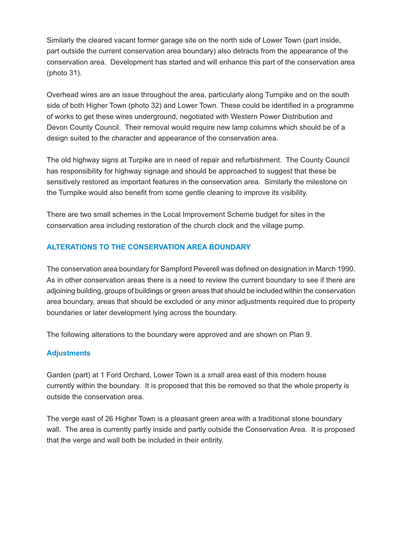Similarly the cleared vacant former garage site on the north side of Lower Town (part inside, part outside the current conservation area boundary) also detracts from the appearance of the conservation area. Development has started and will enhance this part of the conservation area (photo 31).

Overhead wires are an issue throughout the area, particularly along Turnpike and on the south side of both Higher Town (photo 32) and Lower Town. These could be identified in a programme of works to get these wires underground, negotiated with Western Power Distribution and Devon County Council. Their removal would require new lamp columns which should be of a design suited to the character and appearance of the conservation area.

The old highway signs at Turpike are in need of repair and refurbishment. The County Council has responsibility for highway signage and should be approached to suggest that these be sensitively restored as important features in the conservation area. Similarly the milestone on the Turnpike would also benefit from some gentle cleaning to improve its visibility.

There are two small schemes in the Local Improvement Scheme budget for sites in the conservation area including restoration of the church clock and the village pump.

# **ALTERATIONS TO THE CONSERVATION AREA BOUNDARY**

The conservation area boundary for Sampford Peverell was defined on designation in March 1990. As in other conservation areas there is a need to review the current boundary to see if there are adjoining building, groups of buildings or green areas that should be included within the conservation area boundary, areas that should be excluded or any minor adjustments required due to property boundaries or later development lying across the boundary.

The following alterations to the boundary were approved and are shown on Plan 9.

## **Adjustments**

Garden (part) at 1 Ford Orchard, Lower Town is a small area east of this modern house currently within the boundary. It is proposed that this be removed so that the whole property is outside the conservation area.

The verge east of 26 Higher Town is a pleasant green area with a traditional stone boundary wall. The area is currently partly inside and partly outside the Conservation Area. It is proposed that the verge and wall both be included in their entirity.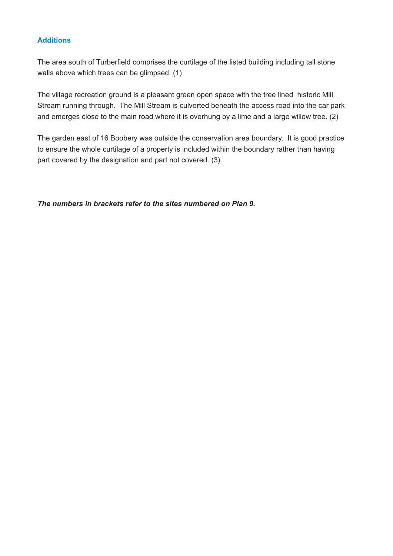### **Additions**

The area south of Turberfield comprises the curtilage of the listed building including tall stone walls above which trees can be glimpsed. (1)

The village recreation ground is a pleasant green open space with the tree lined historic Mill Stream running through. The Mill Stream is culverted beneath the access road into the car park and emerges close to the main road where it is overhung by a lime and a large willow tree. (2)

The garden east of 16 Boobery was outside the conservation area boundary. It is good practice to ensure the whole curtilage of a property is included within the boundary rather than having part covered by the designation and part not covered. (3)

*The numbers in brackets refer to the sites numbered on Plan 9.*